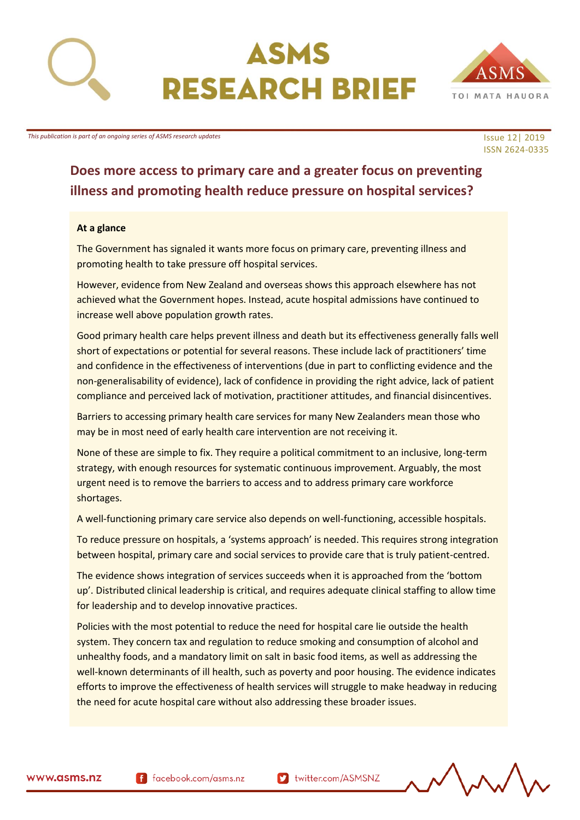



# ISSN 2624-0335

## **Does more access to primary care and a greater focus on preventing illness and promoting health reduce pressure on hospital services?**

#### **At a glance**

The Government has signaled it wants more focus on primary care, preventing illness and promoting health to take pressure off hospital services.

However, evidence from New Zealand and overseas shows this approach elsewhere has not achieved what the Government hopes. Instead, acute hospital admissions have continued to increase well above population growth rates.

Good primary health care helps prevent illness and death but its effectiveness generally falls well short of expectations or potential for several reasons. These include lack of practitioners' time and confidence in the effectiveness of interventions (due in part to conflicting evidence and the non-generalisability of evidence), lack of confidence in providing the right advice, lack of patient compliance and perceived lack of motivation, practitioner attitudes, and financial disincentives.

Barriers to accessing primary health care services for many New Zealanders mean those who may be in most need of early health care intervention are not receiving it.

None of these are simple to fix. They require a political commitment to an inclusive, long-term strategy, with enough resources for systematic continuous improvement. Arguably, the most urgent need is to remove the barriers to access and to address primary care workforce shortages.

A well-functioning primary care service also depends on well-functioning, accessible hospitals.

To reduce pressure on hospitals, a 'systems approach' is needed. This requires strong integration between hospital, primary care and social services to provide care that is truly patient-centred.

The evidence shows integration of services succeeds when it is approached from the 'bottom up'. Distributed clinical leadership is critical, and requires adequate clinical staffing to allow time for leadership and to develop innovative practices.

Policies with the most potential to reduce the need for hospital care lie outside the health system. They concern tax and regulation to reduce smoking and consumption of alcohol and unhealthy foods, and a mandatory limit on salt in basic food items, as well as addressing the well-known determinants of ill health, such as poverty and poor housing. The evidence indicates efforts to improve the effectiveness of health services will struggle to make headway in reducing the need for acute hospital care without also addressing these broader issues.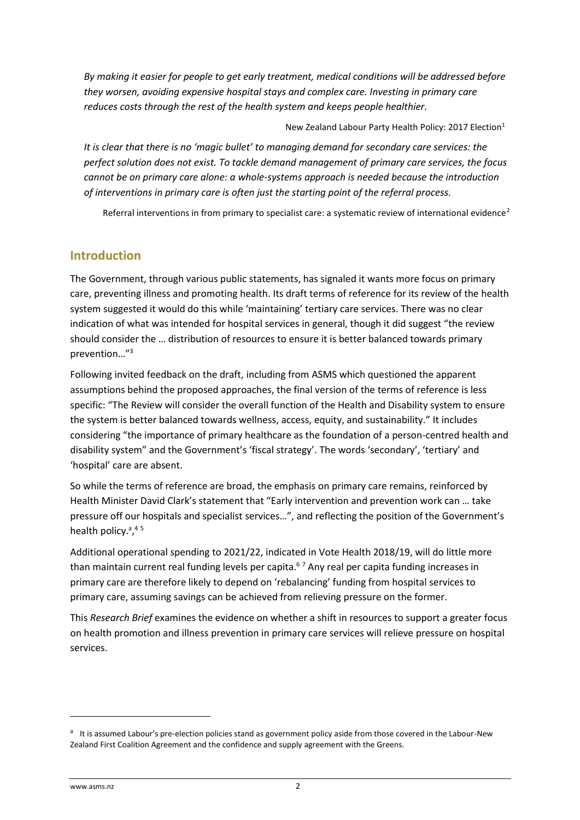*By making it easier for people to get early treatment, medical conditions will be addressed before they worsen, avoiding expensive hospital stays and complex care. Investing in primary care reduces costs through the rest of the health system and keeps people healthier.*

New Zealand Labour Party Health Policy: 2017 Election<sup>1</sup>

*It is clear that there is no 'magic bullet' to managing demand for secondary care services: the perfect solution does not exist. To tackle demand management of primary care services, the focus cannot be on primary care alone: a whole-systems approach is needed because the introduction of interventions in primary care is often just the starting point of the referral process.*

Referral interventions in from primary to specialist care: a systematic review of international evidence<sup>2</sup>

#### **Introduction**

The Government, through various public statements, has signaled it wants more focus on primary care, preventing illness and promoting health. Its draft terms of reference for its review of the health system suggested it would do this while 'maintaining' tertiary care services. There was no clear indication of what was intended for hospital services in general, though it did suggest "the review should consider the … distribution of resources to ensure it is better balanced towards primary prevention…" 3

Following invited feedback on the draft, including from ASMS which questioned the apparent assumptions behind the proposed approaches, the final version of the terms of reference is less specific: "The Review will consider the overall function of the Health and Disability system to ensure the system is better balanced towards wellness, access, equity, and sustainability." It includes considering "the importance of primary healthcare as the foundation of a person-centred health and disability system" and the Government's 'fiscal strategy'. The words 'secondary', 'tertiary' and 'hospital' care are absent.

So while the terms of reference are broad, the emphasis on primary care remains, reinforced by Health Minister David Clark's statement that "Early intervention and prevention work can … take pressure off our hospitals and specialist services…", and reflecting the position of the Government's health policy.<sup>a</sup>,<sup>45</sup>

Additional operational spending to 2021/22, indicated in Vote Health 2018/19, will do little more than maintain current real funding levels per capita.<sup>67</sup> Any real per capita funding increases in primary care are therefore likely to depend on 'rebalancing' funding from hospital services to primary care, assuming savings can be achieved from relieving pressure on the former.

This *Research Brief* examines the evidence on whether a shift in resources to support a greater focus on health promotion and illness prevention in primary care services will relieve pressure on hospital services.

**.** 

<sup>&</sup>lt;sup>a</sup> It is assumed Labour's pre-election policies stand as government policy aside from those covered in the Labour-New Zealand First Coalition Agreement and the confidence and supply agreement with the Greens.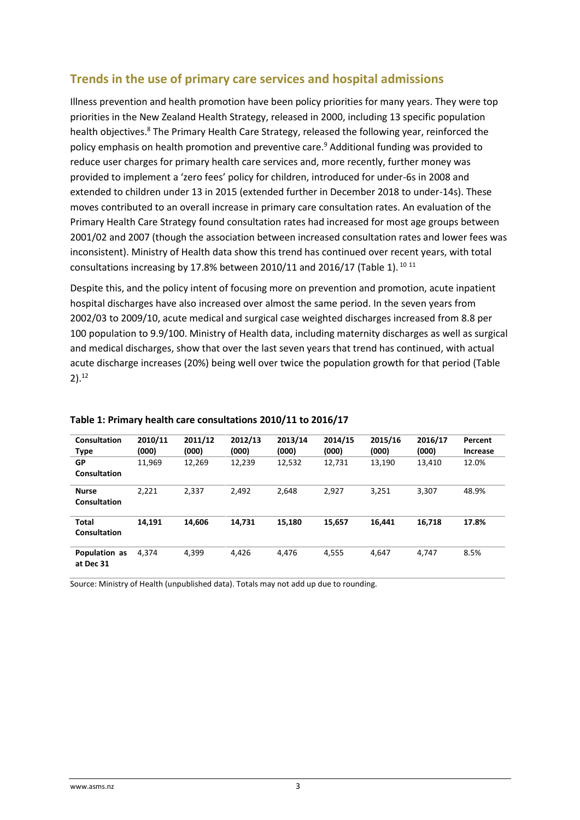#### **Trends in the use of primary care services and hospital admissions**

Illness prevention and health promotion have been policy priorities for many years. They were top priorities in the New Zealand Health Strategy, released in 2000, including 13 specific population health objectives.<sup>8</sup> The Primary Health Care Strategy, released the following year, reinforced the policy emphasis on health promotion and preventive care.<sup>9</sup> Additional funding was provided to reduce user charges for primary health care services and, more recently, further money was provided to implement a 'zero fees' policy for children, introduced for under-6s in 2008 and extended to children under 13 in 2015 (extended further in December 2018 to under-14s). These moves contributed to an overall increase in primary care consultation rates. An evaluation of the Primary Health Care Strategy found consultation rates had increased for most age groups between 2001/02 and 2007 (though the association between increased consultation rates and lower fees was inconsistent). Ministry of Health data show this trend has continued over recent years, with total consultations increasing by 17.8% between 2010/11 and 2016/17 (Table 1). <sup>10</sup> <sup>11</sup>

Despite this, and the policy intent of focusing more on prevention and promotion, acute inpatient hospital discharges have also increased over almost the same period. In the seven years from 2002/03 to 2009/10, acute medical and surgical case weighted discharges increased from 8.8 per 100 population to 9.9/100. Ministry of Health data, including maternity discharges as well as surgical and medical discharges, show that over the last seven years that trend has continued, with actual acute discharge increases (20%) being well over twice the population growth for that period (Table 2). 12

| Consultation<br>Type         | 2010/11<br>(000) | 2011/12<br>(000) | 2012/13<br>(000) | 2013/14<br>(000) | 2014/15<br>(000) | 2015/16<br>(000) | 2016/17<br>(000) | Percent<br><b>Increase</b> |
|------------------------------|------------------|------------------|------------------|------------------|------------------|------------------|------------------|----------------------------|
| GP<br>Consultation           | 11,969           | 12,269           | 12,239           | 12,532           | 12,731           | 13,190           | 13,410           | 12.0%                      |
| <b>Nurse</b><br>Consultation | 2.221            | 2.337            | 2.492            | 2.648            | 2.927            | 3.251            | 3,307            | 48.9%                      |
| <b>Total</b><br>Consultation | 14.191           | 14.606           | 14.731           | 15.180           | 15.657           | 16.441           | 16.718           | 17.8%                      |
| Population as<br>at Dec 31   | 4.374            | 4,399            | 4,426            | 4,476            | 4,555            | 4,647            | 4,747            | 8.5%                       |

#### **Table 1: Primary health care consultations 2010/11 to 2016/17**

Source: Ministry of Health (unpublished data). Totals may not add up due to rounding.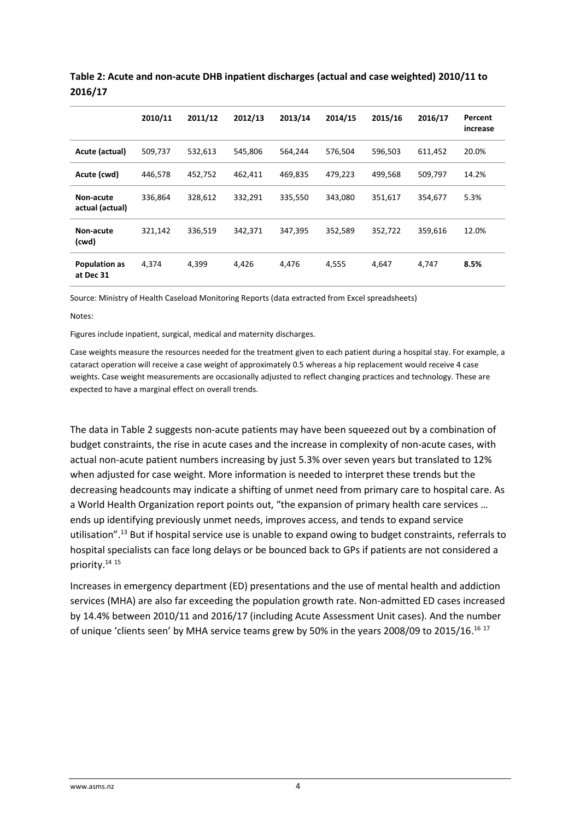|                                   | 2010/11 | 2011/12 | 2012/13 | 2013/14 | 2014/15 | 2015/16 | 2016/17 | Percent<br>increase |
|-----------------------------------|---------|---------|---------|---------|---------|---------|---------|---------------------|
| Acute (actual)                    | 509,737 | 532,613 | 545,806 | 564,244 | 576,504 | 596,503 | 611,452 | 20.0%               |
| Acute (cwd)                       | 446,578 | 452,752 | 462,411 | 469,835 | 479,223 | 499,568 | 509,797 | 14.2%               |
| Non-acute<br>actual (actual)      | 336,864 | 328,612 | 332,291 | 335,550 | 343,080 | 351,617 | 354,677 | 5.3%                |
| Non-acute<br>(cwd)                | 321,142 | 336,519 | 342,371 | 347,395 | 352,589 | 352,722 | 359,616 | 12.0%               |
| <b>Population as</b><br>at Dec 31 | 4,374   | 4,399   | 4,426   | 4,476   | 4,555   | 4,647   | 4,747   | 8.5%                |

**Table 2: Acute and non-acute DHB inpatient discharges (actual and case weighted) 2010/11 to 2016/17**

Source: Ministry of Health Caseload Monitoring Reports (data extracted from Excel spreadsheets)

Notes:

Figures include inpatient, surgical, medical and maternity discharges.

Case weights measure the resources needed for the treatment given to each patient during a hospital stay. For example, a cataract operation will receive a case weight of approximately 0.5 whereas a hip replacement would receive 4 case weights. Case weight measurements are occasionally adjusted to reflect changing practices and technology. These are expected to have a marginal effect on overall trends.

The data in Table 2 suggests non-acute patients may have been squeezed out by a combination of budget constraints, the rise in acute cases and the increase in complexity of non-acute cases, with actual non-acute patient numbers increasing by just 5.3% over seven years but translated to 12% when adjusted for case weight. More information is needed to interpret these trends but the decreasing headcounts may indicate a shifting of unmet need from primary care to hospital care. As a World Health Organization report points out, "the expansion of primary health care services … ends up identifying previously unmet needs, improves access, and tends to expand service utilisation". <sup>13</sup> But if hospital service use is unable to expand owing to budget constraints, referrals to hospital specialists can face long delays or be bounced back to GPs if patients are not considered a priority. 14 15

Increases in emergency department (ED) presentations and the use of mental health and addiction services (MHA) are also far exceeding the population growth rate. Non-admitted ED cases increased by 14.4% between 2010/11 and 2016/17 (including Acute Assessment Unit cases). And the number of unique 'clients seen' by MHA service teams grew by 50% in the years 2008/09 to 2015/16.<sup>16 17</sup>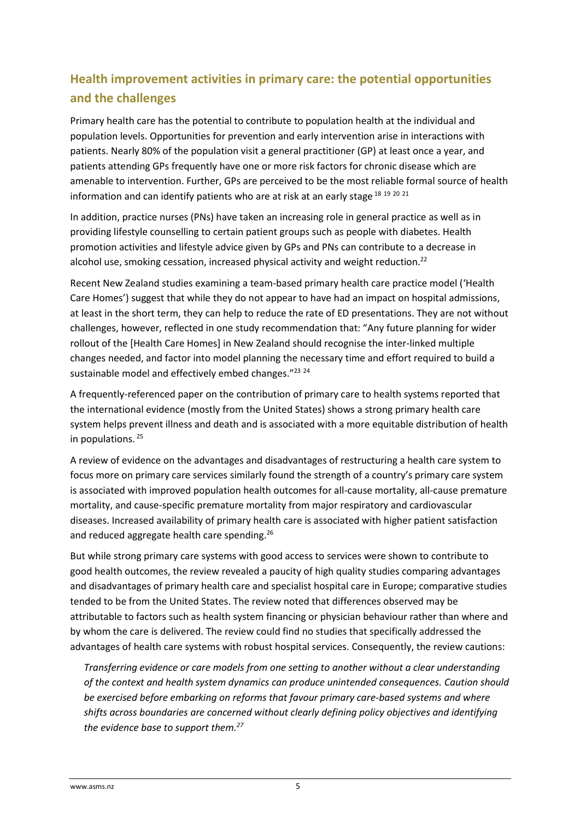## **Health improvement activities in primary care: the potential opportunities and the challenges**

Primary health care has the potential to contribute to population health at the individual and population levels. Opportunities for prevention and early intervention arise in interactions with patients. Nearly 80% of the population visit a general practitioner (GP) at least once a year, and patients attending GPs frequently have one or more risk factors for chronic disease which are amenable to intervention. Further, GPs are perceived to be the most reliable formal source of health information and can identify patients who are at risk at an early stage 18 19 20 21

In addition, practice nurses (PNs) have taken an increasing role in general practice as well as in providing lifestyle counselling to certain patient groups such as people with diabetes. Health promotion activities and lifestyle advice given by GPs and PNs can contribute to a decrease in alcohol use, smoking cessation, increased physical activity and weight reduction.<sup>22</sup>

Recent New Zealand studies examining a team-based primary health care practice model ('Health Care Homes') suggest that while they do not appear to have had an impact on hospital admissions, at least in the short term, they can help to reduce the rate of ED presentations. They are not without challenges, however, reflected in one study recommendation that: "Any future planning for wider rollout of the [Health Care Homes] in New Zealand should recognise the inter-linked multiple changes needed, and factor into model planning the necessary time and effort required to build a sustainable model and effectively embed changes."<sup>23</sup> <sup>24</sup>

A frequently-referenced paper on the contribution of primary care to health systems reported that the international evidence (mostly from the United States) shows a strong primary health care system helps prevent illness and death and is associated with a more equitable distribution of health in populations. <sup>25</sup>

A review of evidence on the advantages and disadvantages of restructuring a health care system to focus more on primary care services similarly found the strength of a country's primary care system is associated with improved population health outcomes for all-cause mortality, all-cause premature mortality, and cause-specific premature mortality from major respiratory and cardiovascular diseases. Increased availability of primary health care is associated with higher patient satisfaction and reduced aggregate health care spending.<sup>26</sup>

But while strong primary care systems with good access to services were shown to contribute to good health outcomes, the review revealed a paucity of high quality studies comparing advantages and disadvantages of primary health care and specialist hospital care in Europe; comparative studies tended to be from the United States. The review noted that differences observed may be attributable to factors such as health system financing or physician behaviour rather than where and by whom the care is delivered. The review could find no studies that specifically addressed the advantages of health care systems with robust hospital services. Consequently, the review cautions:

*Transferring evidence or care models from one setting to another without a clear understanding of the context and health system dynamics can produce unintended consequences. Caution should be exercised before embarking on reforms that favour primary care-based systems and where shifts across boundaries are concerned without clearly defining policy objectives and identifying the evidence base to support them.27*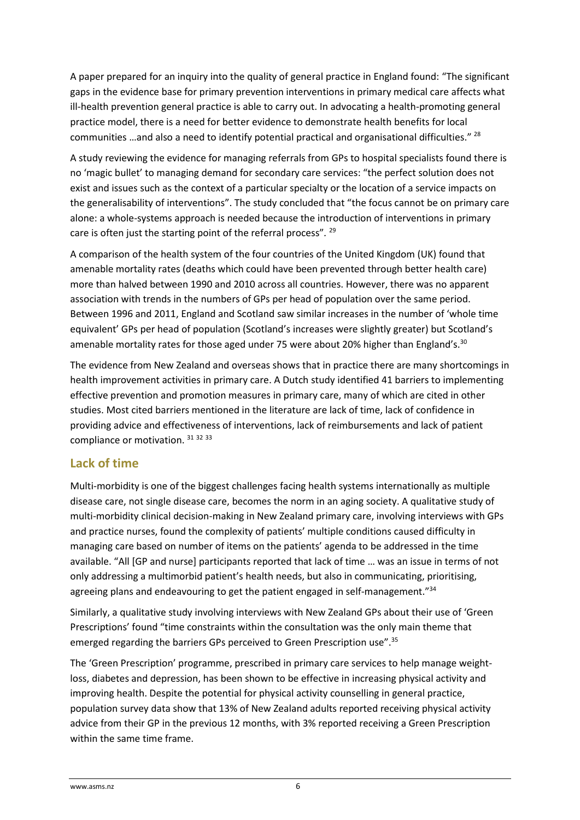A paper prepared for an inquiry into the quality of general practice in England found: "The significant gaps in the evidence base for primary prevention interventions in primary medical care affects what ill-health prevention general practice is able to carry out. In advocating a health-promoting general practice model, there is a need for better evidence to demonstrate health benefits for local communities …and also a need to identify potential practical and organisational difficulties." <sup>28</sup>

A study reviewing the evidence for managing referrals from GPs to hospital specialists found there is no 'magic bullet' to managing demand for secondary care services: "the perfect solution does not exist and issues such as the context of a particular specialty or the location of a service impacts on the generalisability of interventions". The study concluded that "the focus cannot be on primary care alone: a whole-systems approach is needed because the introduction of interventions in primary care is often just the starting point of the referral process"*.* 29

A comparison of the health system of the four countries of the United Kingdom (UK) found that amenable mortality rates (deaths which could have been prevented through better health care) more than halved between 1990 and 2010 across all countries. However, there was no apparent association with trends in the numbers of GPs per head of population over the same period. Between 1996 and 2011, England and Scotland saw similar increases in the number of 'whole time equivalent' GPs per head of population (Scotland's increases were slightly greater) but Scotland's amenable mortality rates for those aged under 75 were about 20% higher than England's.<sup>30</sup>

The evidence from New Zealand and overseas shows that in practice there are many shortcomings in health improvement activities in primary care. A Dutch study identified 41 barriers to implementing effective prevention and promotion measures in primary care, many of which are cited in other studies. Most cited barriers mentioned in the literature are lack of time, lack of confidence in providing advice and effectiveness of interventions, lack of reimbursements and lack of patient compliance or motivation. 31 32 33

#### **Lack of time**

Multi-morbidity is one of the biggest challenges facing health systems internationally as multiple disease care, not single disease care, becomes the norm in an aging society. A qualitative study of multi-morbidity clinical decision-making in New Zealand primary care, involving interviews with GPs and practice nurses, found the complexity of patients' multiple conditions caused difficulty in managing care based on number of items on the patients' agenda to be addressed in the time available. "All [GP and nurse] participants reported that lack of time … was an issue in terms of not only addressing a multimorbid patient's health needs, but also in communicating, prioritising, agreeing plans and endeavouring to get the patient engaged in self-management."<sup>34</sup>

Similarly, a qualitative study involving interviews with New Zealand GPs about their use of 'Green Prescriptions' found "time constraints within the consultation was the only main theme that emerged regarding the barriers GPs perceived to Green Prescription use".<sup>35</sup>

The 'Green Prescription' programme, prescribed in primary care services to help manage weightloss, diabetes and depression, has been shown to be effective in increasing physical activity and improving health. Despite the potential for physical activity counselling in general practice, population survey data show that 13% of New Zealand adults reported receiving physical activity advice from their GP in the previous 12 months, with 3% reported receiving a Green Prescription within the same time frame.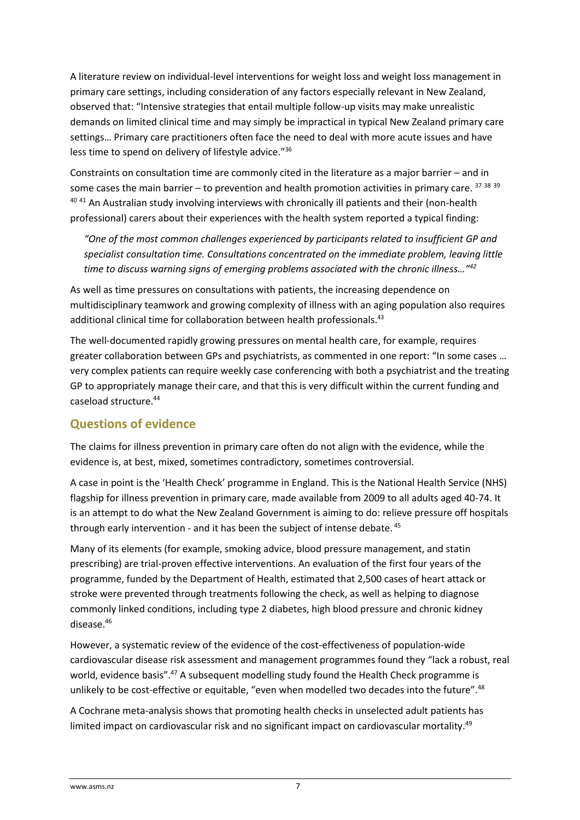A literature review on individual-level interventions for weight loss and weight loss management in primary care settings, including consideration of any factors especially relevant in New Zealand, observed that: "Intensive strategies that entail multiple follow-up visits may make unrealistic demands on limited clinical time and may simply be impractical in typical New Zealand primary care settings… Primary care practitioners often face the need to deal with more acute issues and have less time to spend on delivery of lifestyle advice."<sup>36</sup>

Constraints on consultation time are commonly cited in the literature as a major barrier – and in some cases the main barrier – to prevention and health promotion activities in primary care.  $37\,38\,39$ <sup>40 41</sup> An Australian study involving interviews with chronically ill patients and their (non-health professional) carers about their experiences with the health system reported a typical finding:

*"One of the most common challenges experienced by participants related to insufficient GP and specialist consultation time. Consultations concentrated on the immediate problem, leaving little time to discuss warning signs of emerging problems associated with the chronic illness…"<sup>42</sup>*

As well as time pressures on consultations with patients, the increasing dependence on multidisciplinary teamwork and growing complexity of illness with an aging population also requires additional clinical time for collaboration between health professionals.<sup>43</sup>

The well-documented rapidly growing pressures on mental health care, for example, requires greater collaboration between GPs and psychiatrists, as commented in one report: "In some cases … very complex patients can require weekly case conferencing with both a psychiatrist and the treating GP to appropriately manage their care, and that this is very difficult within the current funding and caseload structure.<sup>44</sup>

#### **Questions of evidence**

The claims for illness prevention in primary care often do not align with the evidence, while the evidence is, at best, mixed, sometimes contradictory, sometimes controversial.

A case in point is the 'Health Check' programme in England. This is the National Health Service (NHS) flagship for illness prevention in primary care, made available from 2009 to all adults aged 40-74. It is an attempt to do what the New Zealand Government is aiming to do: relieve pressure off hospitals through early intervention - and it has been the subject of intense debate. <sup>45</sup>

Many of its elements (for example, smoking advice, blood pressure management, and statin prescribing) are trial-proven effective interventions. An evaluation of the first four years of the programme, funded by the Department of Health, estimated that 2,500 cases of heart attack or stroke were prevented through treatments following the check, as well as helping to diagnose commonly linked conditions, including type 2 diabetes, high blood pressure and chronic kidney disease.<sup>46</sup>

However, a systematic review of the evidence of the cost-effectiveness of population-wide cardiovascular disease risk assessment and management programmes found they "lack a robust, real world, evidence basis".<sup>47</sup> A subsequent modelling study found the Health Check programme is unlikely to be cost-effective or equitable, "even when modelled two decades into the future".<sup>48</sup>

A Cochrane meta-analysis shows that promoting health checks in unselected adult patients has limited impact on cardiovascular risk and no significant impact on cardiovascular mortality.<sup>49</sup>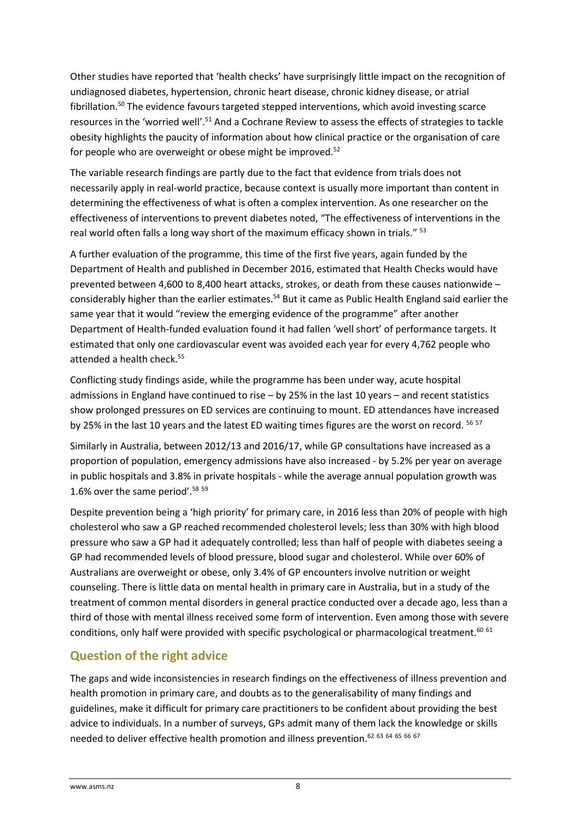Other studies have reported that 'health checks' have surprisingly little impact on the recognition of undiagnosed diabetes, hypertension, chronic heart disease, chronic kidney disease, or atrial fibrillation.<sup>50</sup> The evidence favours targeted stepped interventions, which avoid investing scarce resources in the 'worried well'.<sup>51</sup> And a Cochrane Review to assess the effects of strategies to tackle obesity highlights the paucity of information about how clinical practice or the organisation of care for people who are overweight or obese might be improved.<sup>52</sup>

The variable research findings are partly due to the fact that evidence from trials does not necessarily apply in real-world practice, because context is usually more important than content in determining the effectiveness of what is often a complex intervention. As one researcher on the effectiveness of interventions to prevent diabetes noted, "The effectiveness of interventions in the real world often falls a long way short of the maximum efficacy shown in trials." <sup>53</sup>

A further evaluation of the programme, this time of the first five years, again funded by the Department of Health and published in December 2016, estimated that Health Checks would have prevented between 4,600 to 8,400 heart attacks, strokes, or death from these causes nationwide – considerably higher than the earlier estimates.<sup>54</sup> But it came as Public Health England said earlier the same year that it would "review the emerging evidence of the programme" after another Department of Health-funded evaluation found it had fallen 'well short' of performance targets. It estimated that only one cardiovascular event was avoided each year for every 4,762 people who attended a health check.<sup>55</sup>

Conflicting study findings aside, while the programme has been under way, acute hospital admissions in England have continued to rise – by 25% in the last 10 years – and recent statistics show prolonged pressures on ED services are continuing to mount. ED attendances have increased by 25% in the last 10 years and the latest ED waiting times figures are the worst on record. <sup>56 57</sup>

Similarly in Australia, between 2012/13 and 2016/17, while GP consultations have increased as a proportion of population, emergency admissions have also increased - by 5.2% per year on average in public hospitals and 3.8% in private hospitals - while the average annual population growth was 1.6% over the same period'.<sup>58</sup> <sup>59</sup>

Despite prevention being a 'high priority' for primary care, in 2016 less than 20% of people with high cholesterol who saw a GP reached recommended cholesterol levels; less than 30% with high blood pressure who saw a GP had it adequately controlled; less than half of people with diabetes seeing a GP had recommended levels of blood pressure, blood sugar and cholesterol. While over 60% of Australians are overweight or obese, only 3.4% of GP encounters involve nutrition or weight counseling. There is little data on mental health in primary care in Australia, but in a study of the treatment of common mental disorders in general practice conducted over a decade ago, less than a third of those with mental illness received some form of intervention. Even among those with severe conditions, only half were provided with specific psychological or pharmacological treatment.<sup>60 61</sup>

### **Question of the right advice**

The gaps and wide inconsistencies in research findings on the effectiveness of illness prevention and health promotion in primary care, and doubts as to the generalisability of many findings and guidelines, make it difficult for primary care practitioners to be confident about providing the best advice to individuals. In a number of surveys, GPs admit many of them lack the knowledge or skills needed to deliver effective health promotion and illness prevention.<sup>62 63 64 65 66 67</sup>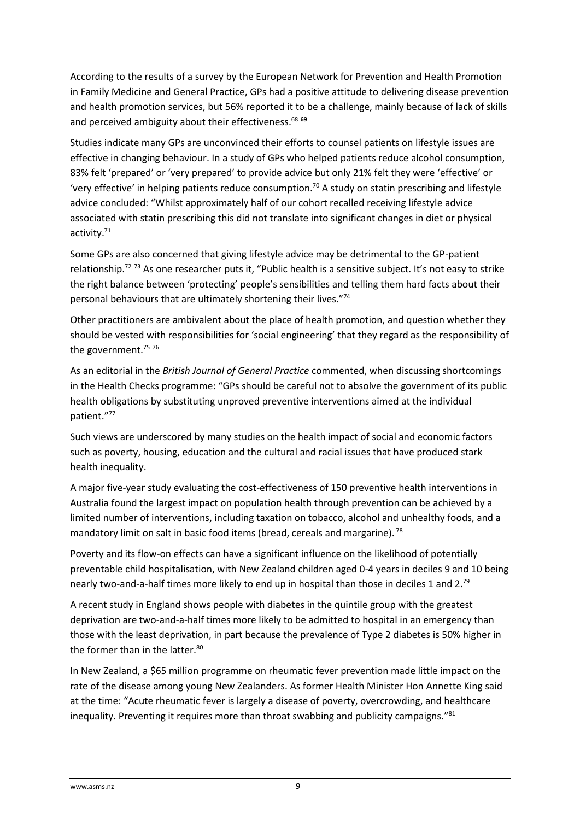According to the results of a survey by the European Network for Prevention and Health Promotion in Family Medicine and General Practice, GPs had a positive attitude to delivering disease prevention and health promotion services, but 56% reported it to be a challenge, mainly because of lack of skills and perceived ambiguity about their effectiveness.<sup>68</sup> <sup>69</sup>

Studies indicate many GPs are unconvinced their efforts to counsel patients on lifestyle issues are effective in changing behaviour. In a study of GPs who helped patients reduce alcohol consumption, 83% felt 'prepared' or 'very prepared' to provide advice but only 21% felt they were 'effective' or 'very effective' in helping patients reduce consumption. <sup>70</sup> A study on statin prescribing and lifestyle advice concluded: "Whilst approximately half of our cohort recalled receiving lifestyle advice associated with statin prescribing this did not translate into significant changes in diet or physical activity. 71

Some GPs are also concerned that giving lifestyle advice may be detrimental to the GP-patient relationship.<sup>72</sup> <sup>73</sup> As one researcher puts it, "Public health is a sensitive subject. It's not easy to strike the right balance between 'protecting' people's sensibilities and telling them hard facts about their personal behaviours that are ultimately shortening their lives."<sup>74</sup>

Other practitioners are ambivalent about the place of health promotion, and question whether they should be vested with responsibilities for 'social engineering' that they regard as the responsibility of the government.<sup>75</sup> 76

As an editorial in the *British Journal of General Practice* commented, when discussing shortcomings in the Health Checks programme: "GPs should be careful not to absolve the government of its public health obligations by substituting unproved preventive interventions aimed at the individual patient."<sup>77</sup>

Such views are underscored by many studies on the health impact of social and economic factors such as poverty, housing, education and the cultural and racial issues that have produced stark health inequality.

A major five-year study evaluating the cost-effectiveness of 150 preventive health interventions in Australia found the largest impact on population health through prevention can be achieved by a limited number of interventions, including taxation on tobacco, alcohol and unhealthy foods, and a mandatory limit on salt in basic food items (bread, cereals and margarine).<sup>78</sup>

Poverty and its flow-on effects can have a significant influence on the likelihood of potentially preventable child hospitalisation, with New Zealand children aged 0-4 years in deciles 9 and 10 being nearly two-and-a-half times more likely to end up in hospital than those in deciles 1 and 2.<sup>79</sup>

A recent study in England shows people with diabetes in the quintile group with the greatest deprivation are two-and-a-half times more likely to be admitted to hospital in an emergency than those with the least deprivation, in part because the prevalence of Type 2 diabetes is 50% higher in the former than in the latter.<sup>80</sup>

In New Zealand, a \$65 million programme on rheumatic fever prevention made little impact on the rate of the disease among young New Zealanders. As former Health Minister Hon Annette King said at the time: "Acute rheumatic fever is largely a disease of poverty, overcrowding, and healthcare inequality. Preventing it requires more than throat swabbing and publicity campaigns."<sup>81</sup>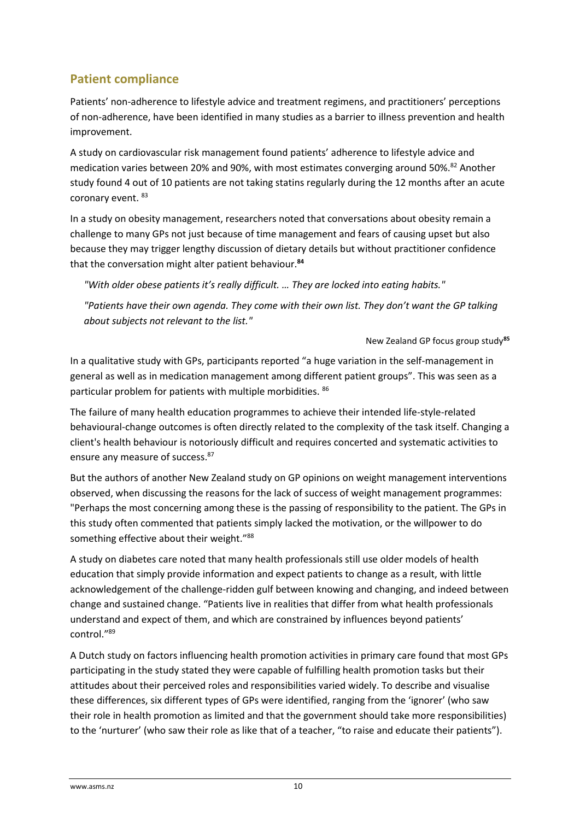### **Patient compliance**

Patients' non-adherence to lifestyle advice and treatment regimens, and practitioners' perceptions of non-adherence, have been identified in many studies as a barrier to illness prevention and health improvement.

A study on cardiovascular risk management found patients' adherence to lifestyle advice and medication varies between 20% and 90%, with most estimates converging around 50%.<sup>82</sup> Another study found 4 out of 10 patients are not taking statins regularly during the 12 months after an acute coronary event. 83

In a study on obesity management, researchers noted that conversations about obesity remain a challenge to many GPs not just because of time management and fears of causing upset but also because they may trigger lengthy discussion of dietary details but without practitioner confidence that the conversation might alter patient behaviour.**<sup>84</sup>**

*"With older obese patients it's really difficult. … They are locked into eating habits."* 

*"Patients have their own gaenda. They come with their own list. They don't want the GP talking about subjects not relevant to the list."*

New Zealand GP focus group study**<sup>85</sup>**

In a qualitative study with GPs, participants reported "a huge variation in the self-management in general as well as in medication management among different patient groups". This was seen as a particular problem for patients with multiple morbidities. <sup>86</sup>

The failure of many health education programmes to achieve their intended life-style-related behavioural-change outcomes is often directly related to the complexity of the task itself. Changing a client's health behaviour is notoriously difficult and requires concerted and systematic activities to ensure any measure of success.<sup>87</sup>

But the authors of another New Zealand study on GP opinions on weight management interventions observed, when discussing the reasons for the lack of success of weight management programmes: "Perhaps the most concerning among these is the passing of responsibility to the patient. The GPs in this study often commented that patients simply lacked the motivation, or the willpower to do something effective about their weight."<sup>88</sup>

A study on diabetes care noted that many health professionals still use older models of health education that simply provide information and expect patients to change as a result, with little acknowledgement of the challenge‐ridden gulf between knowing and changing, and indeed between change and sustained change. "Patients live in realities that differ from what health professionals understand and expect of them, and which are constrained by influences beyond patients' control." 89

A Dutch study on factors influencing health promotion activities in primary care found that most GPs participating in the study stated they were capable of fulfilling health promotion tasks but their attitudes about their perceived roles and responsibilities varied widely. To describe and visualise these differences, six different types of GPs were identified, ranging from the 'ignorer' (who saw their role in health promotion as limited and that the government should take more responsibilities) to the 'nurturer' (who saw their role as like that of a teacher, "to raise and educate their patients").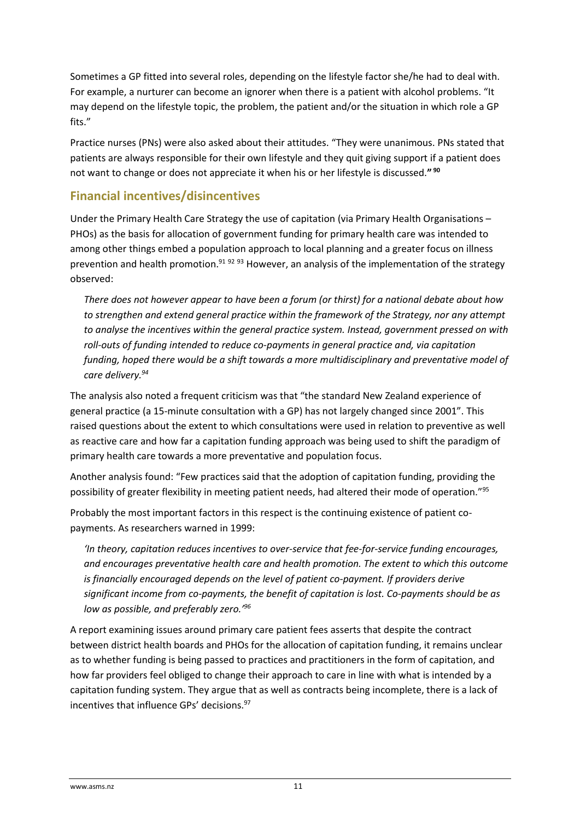Sometimes a GP fitted into several roles, depending on the lifestyle factor she/he had to deal with. For example, a nurturer can become an ignorer when there is a patient with alcohol problems. "It may depend on the lifestyle topic, the problem, the patient and/or the situation in which role a GP fits."

Practice nurses (PNs) were also asked about their attitudes. "They were unanimous. PNs stated that patients are always responsible for their own lifestyle and they quit giving support if a patient does not want to change or does not appreciate it when his or her lifestyle is discussed.**" 90**

#### **Financial incentives/disincentives**

Under the Primary Health Care Strategy the use of capitation (via Primary Health Organisations – PHOs) as the basis for allocation of government funding for primary health care was intended to among other things embed a population approach to local planning and a greater focus on illness prevention and health promotion.<sup>91 92 93</sup> However, an analysis of the implementation of the strategy observed:

*There does not however appear to have been a forum (or thirst) for a national debate about how to strengthen and extend general practice within the framework of the Strategy, nor any attempt to analyse the incentives within the general practice system. Instead, government pressed on with roll-outs of funding intended to reduce co-payments in general practice and, via capitation funding, hoped there would be a shift towards a more multidisciplinary and preventative model of care delivery.<sup>94</sup>*

The analysis also noted a frequent criticism was that "the standard New Zealand experience of general practice (a 15-minute consultation with a GP) has not largely changed since 2001". This raised questions about the extent to which consultations were used in relation to preventive as well as reactive care and how far a capitation funding approach was being used to shift the paradigm of primary health care towards a more preventative and population focus.

Another analysis found: "Few practices said that the adoption of capitation funding, providing the possibility of greater flexibility in meeting patient needs, had altered their mode of operation."<sup>95</sup>

Probably the most important factors in this respect is the continuing existence of patient copayments. As researchers warned in 1999:

*'In theory, capitation reduces incentives to over-service that fee-for-service funding encourages, and encourages preventative health care and health promotion. The extent to which this outcome is financially encouraged depends on the level of patient co-payment. If providers derive significant income from co-payments, the benefit of capitation is lost. Co-payments should be as low as possible, and preferably zero.'<sup>96</sup>*

A report examining issues around primary care patient fees asserts that despite the contract between district health boards and PHOs for the allocation of capitation funding, it remains unclear as to whether funding is being passed to practices and practitioners in the form of capitation, and how far providers feel obliged to change their approach to care in line with what is intended by a capitation funding system. They argue that as well as contracts being incomplete, there is a lack of incentives that influence GPs' decisions.97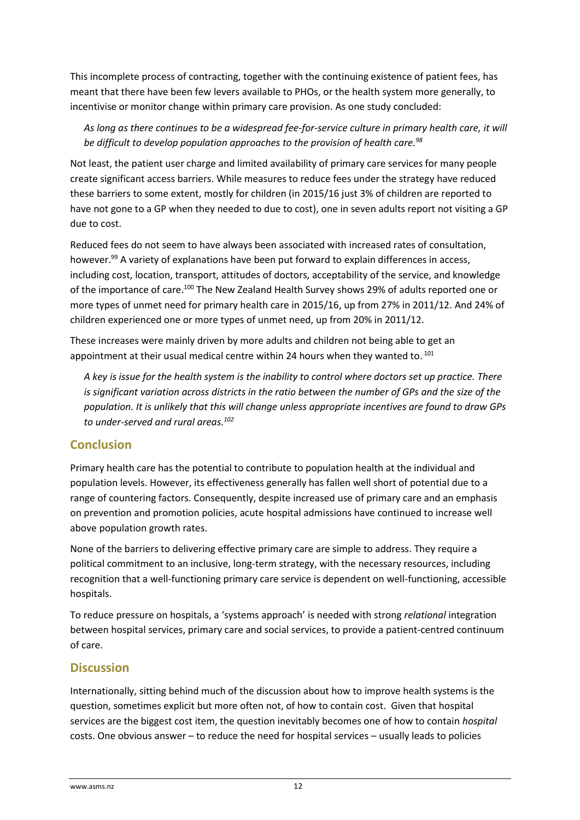This incomplete process of contracting, together with the continuing existence of patient fees, has meant that there have been few levers available to PHOs, or the health system more generally, to incentivise or monitor change within primary care provision. As one study concluded:

*As long as there continues to be a widespread fee-for-service culture in primary health care, it will be difficult to develop population approaches to the provision of health care.<sup>98</sup>*

Not least, the patient user charge and limited availability of primary care services for many people create significant access barriers. While measures to reduce fees under the strategy have reduced these barriers to some extent, mostly for children (in 2015/16 just 3% of children are reported to have not gone to a GP when they needed to due to cost), one in seven adults report not visiting a GP due to cost.

Reduced fees do not seem to have always been associated with increased rates of consultation, however.<sup>99</sup> A variety of explanations have been put forward to explain differences in access, including cost, location, transport, attitudes of doctors, acceptability of the service, and knowledge of the importance of care.<sup>100</sup> The New Zealand Health Survey shows 29% of adults reported one or more types of unmet need for primary health care in 2015/16, up from 27% in 2011/12. And 24% of children experienced one or more types of unmet need, up from 20% in 2011/12.

These increases were mainly driven by more adults and children not being able to get an appointment at their usual medical centre within 24 hours when they wanted to. <sup>101</sup>

*A key is issue for the health system is the inability to control where doctors set up practice. There is significant variation across districts in the ratio between the number of GPs and the size of the population. It is unlikely that this will change unless appropriate incentives are found to draw GPs to under-served and rural areas.<sup>102</sup>*

#### **Conclusion**

Primary health care has the potential to contribute to population health at the individual and population levels. However, its effectiveness generally has fallen well short of potential due to a range of countering factors. Consequently, despite increased use of primary care and an emphasis on prevention and promotion policies, acute hospital admissions have continued to increase well above population growth rates.

None of the barriers to delivering effective primary care are simple to address. They require a political commitment to an inclusive, long-term strategy, with the necessary resources, including recognition that a well-functioning primary care service is dependent on well-functioning, accessible hospitals.

To reduce pressure on hospitals, a 'systems approach' is needed with strong *relational* integration between hospital services, primary care and social services, to provide a patient-centred continuum of care.

#### **Discussion**

Internationally, sitting behind much of the discussion about how to improve health systems is the question, sometimes explicit but more often not, of how to contain cost. Given that hospital services are the biggest cost item, the question inevitably becomes one of how to contain *hospital* costs. One obvious answer – to reduce the need for hospital services – usually leads to policies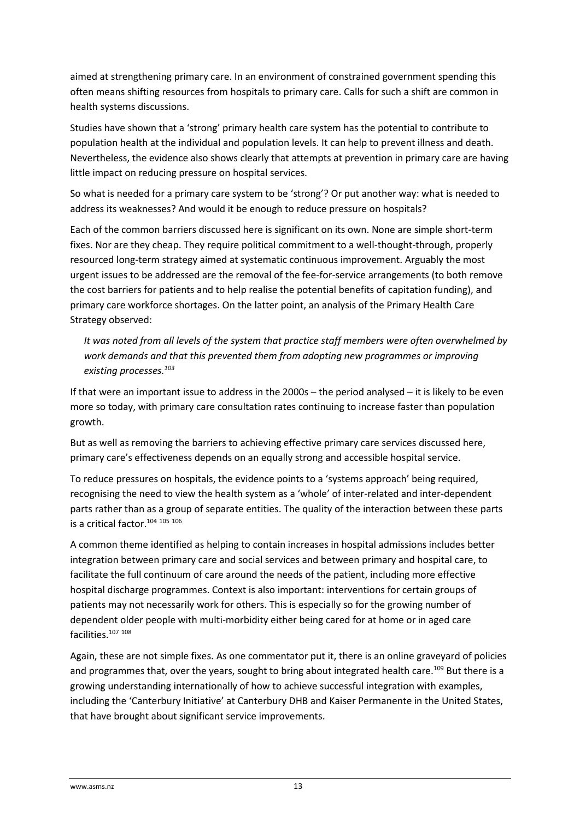aimed at strengthening primary care. In an environment of constrained government spending this often means shifting resources from hospitals to primary care. Calls for such a shift are common in health systems discussions.

Studies have shown that a 'strong' primary health care system has the potential to contribute to population health at the individual and population levels. It can help to prevent illness and death. Nevertheless, the evidence also shows clearly that attempts at prevention in primary care are having little impact on reducing pressure on hospital services.

So what is needed for a primary care system to be 'strong'? Or put another way: what is needed to address its weaknesses? And would it be enough to reduce pressure on hospitals?

Each of the common barriers discussed here is significant on its own. None are simple short-term fixes. Nor are they cheap. They require political commitment to a well-thought-through, properly resourced long-term strategy aimed at systematic continuous improvement. Arguably the most urgent issues to be addressed are the removal of the fee-for-service arrangements (to both remove the cost barriers for patients and to help realise the potential benefits of capitation funding), and primary care workforce shortages. On the latter point, an analysis of the Primary Health Care Strategy observed:

*It was noted from all levels of the system that practice staff members were often overwhelmed by work demands and that this prevented them from adopting new programmes or improving existing processes.<sup>103</sup>*

If that were an important issue to address in the 2000s – the period analysed – it is likely to be even more so today, with primary care consultation rates continuing to increase faster than population growth.

But as well as removing the barriers to achieving effective primary care services discussed here, primary care's effectiveness depends on an equally strong and accessible hospital service.

To reduce pressures on hospitals, the evidence points to a 'systems approach' being required, recognising the need to view the health system as a 'whole' of inter-related and inter-dependent parts rather than as a group of separate entities. The quality of the interaction between these parts is a critical factor.<sup>104</sup> <sup>105</sup> <sup>106</sup>

A common theme identified as helping to contain increases in hospital admissions includes better integration between primary care and social services and between primary and hospital care, to facilitate the full continuum of care around the needs of the patient, including more effective hospital discharge programmes. Context is also important: interventions for certain groups of patients may not necessarily work for others. This is especially so for the growing number of dependent older people with multi-morbidity either being cared for at home or in aged care facilities.<sup>107</sup> <sup>108</sup>

Again, these are not simple fixes. As one commentator put it, there is an online graveyard of policies and programmes that, over the years, sought to bring about integrated health care.<sup>109</sup> But there is a growing understanding internationally of how to achieve successful integration with examples, including the 'Canterbury Initiative' at Canterbury DHB and Kaiser Permanente in the United States, that have brought about significant service improvements.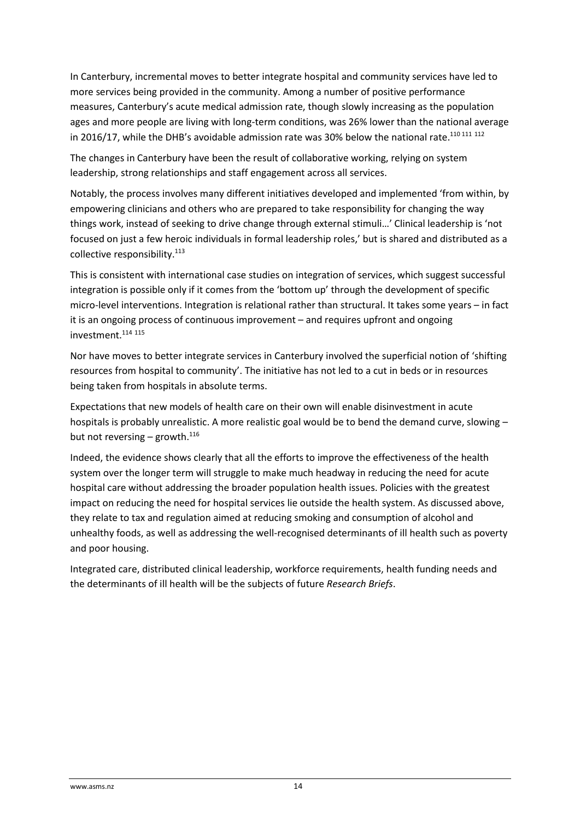In Canterbury, incremental moves to better integrate hospital and community services have led to more services being provided in the community. Among a number of positive performance measures, Canterbury's acute medical admission rate, though slowly increasing as the population ages and more people are living with long-term conditions, was 26% lower than the national average in 2016/17, while the DHB's avoidable admission rate was 30% below the national rate.<sup>110 111</sup> <sup>112</sup>

The changes in Canterbury have been the result of collaborative working, relying on system leadership, strong relationships and staff engagement across all services.

Notably, the process involves many different initiatives developed and implemented 'from within, by empowering clinicians and others who are prepared to take responsibility for changing the way things work, instead of seeking to drive change through external stimuli…' Clinical leadership is 'not focused on just a few heroic individuals in formal leadership roles,' but is shared and distributed as a collective responsibility.<sup>113</sup>

This is consistent with international case studies on integration of services, which suggest successful integration is possible only if it comes from the 'bottom up' through the development of specific micro-level interventions. Integration is relational rather than structural. It takes some years – in fact it is an ongoing process of continuous improvement – and requires upfront and ongoing investment.<sup>114</sup> <sup>115</sup>

Nor have moves to better integrate services in Canterbury involved the superficial notion of 'shifting resources from hospital to community'. The initiative has not led to a cut in beds or in resources being taken from hospitals in absolute terms.

Expectations that new models of health care on their own will enable disinvestment in acute hospitals is probably unrealistic. A more realistic goal would be to bend the demand curve, slowing but not reversing – growth. $^{116}$ 

Indeed, the evidence shows clearly that all the efforts to improve the effectiveness of the health system over the longer term will struggle to make much headway in reducing the need for acute hospital care without addressing the broader population health issues. Policies with the greatest impact on reducing the need for hospital services lie outside the health system. As discussed above, they relate to tax and regulation aimed at reducing smoking and consumption of alcohol and unhealthy foods, as well as addressing the well-recognised determinants of ill health such as poverty and poor housing.

Integrated care, distributed clinical leadership, workforce requirements, health funding needs and the determinants of ill health will be the subjects of future *Research Briefs*.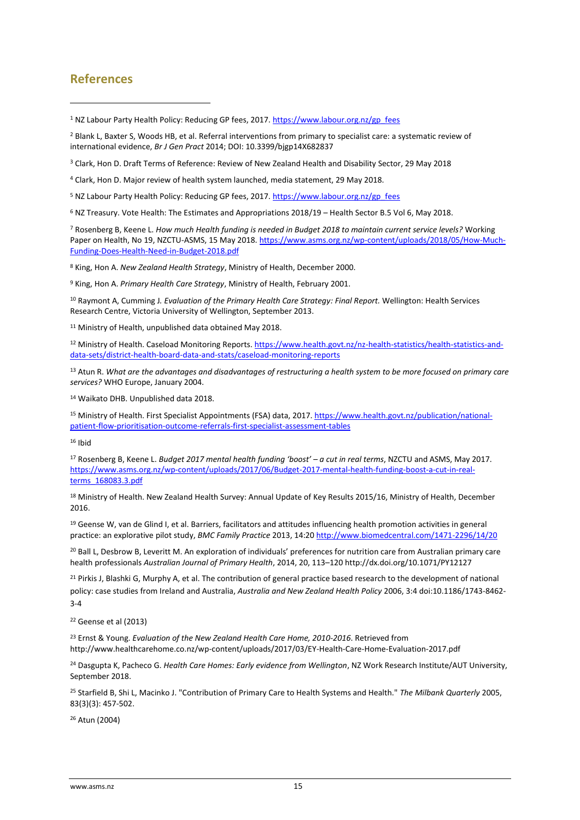#### **References**

1

<sup>5</sup> NZ Labour Party Health Policy: Reducing GP fees, 2017. [https://www.labour.org.nz/gp\\_fees](https://www.labour.org.nz/gp_fees)

<sup>6</sup> NZ Treasury. Vote Health: The Estimates and Appropriations 2018/19 – Health Sector B.5 Vol 6, May 2018.

<sup>7</sup> Rosenberg B, Keene L. *How much Health funding is needed in Budget 2018 to maintain current service levels?* Working Paper on Health, No 19, NZCTU-ASMS, 15 May 2018[. https://www.asms.org.nz/wp-content/uploads/2018/05/How-Much-](https://www.asms.org.nz/wp-content/uploads/2018/05/How-Much-Funding-Does-Health-Need-in-Budget-2018.pdf)[Funding-Does-Health-Need-in-Budget-2018.pdf](https://www.asms.org.nz/wp-content/uploads/2018/05/How-Much-Funding-Does-Health-Need-in-Budget-2018.pdf)

<sup>8</sup> King, Hon A. *New Zealand Health Strategy*, Ministry of Health, December 2000.

<sup>9</sup> King, Hon A. *Primary Health Care Strategy*, Ministry of Health, February 2001.

<sup>10</sup> Raymont A, Cumming J*. Evaluation of the Primary Health Care Strategy: Final Report.* Wellington: Health Services Research Centre, Victoria University of Wellington, September 2013.

<sup>11</sup> Ministry of Health, unpublished data obtained May 2018.

<sup>12</sup> Ministry of Health. Caseload Monitoring Reports[. https://www.health.govt.nz/nz-health-statistics/health-statistics-and](https://www.health.govt.nz/nz-health-statistics/health-statistics-and-data-sets/district-health-board-data-and-stats/caseload-monitoring-reports)[data-sets/district-health-board-data-and-stats/caseload-monitoring-reports](https://www.health.govt.nz/nz-health-statistics/health-statistics-and-data-sets/district-health-board-data-and-stats/caseload-monitoring-reports)

<sup>13</sup> Atun R. *What are the advantages and disadvantages of restructuring a health system to be more focused on primary care services?* WHO Europe, January 2004.

<sup>14</sup> Waikato DHB. Unpublished data 2018.

<sup>15</sup> Ministry of Health. First Specialist Appointments (FSA) data, 2017. [https://www.health.govt.nz/publication/national](https://www.health.govt.nz/publication/national-patient-flow-prioritisation-outcome-referrals-first-specialist-assessment-tables)[patient-flow-prioritisation-outcome-referrals-first-specialist-assessment-tables](https://www.health.govt.nz/publication/national-patient-flow-prioritisation-outcome-referrals-first-specialist-assessment-tables)

 $16$  Ibid

<sup>17</sup> Rosenberg B, Keene L. *Budget 2017 mental health funding 'boost' – a cut in real terms*, NZCTU and ASMS, May 2017. [https://www.asms.org.nz/wp-content/uploads/2017/06/Budget-2017-mental-health-funding-boost-a-cut-in-real](https://www.asms.org.nz/wp-content/uploads/2017/06/Budget-2017-mental-health-funding-boost-a-cut-in-real-terms_168083.3.pdf)[terms\\_168083.3.pdf](https://www.asms.org.nz/wp-content/uploads/2017/06/Budget-2017-mental-health-funding-boost-a-cut-in-real-terms_168083.3.pdf)

<sup>18</sup> Ministry of Health. New Zealand Health Survey: Annual Update of Key Results 2015/16, Ministry of Health, December 2016.

<sup>19</sup> Geense W, van de Glind I, et al. Barriers, facilitators and attitudes influencing health promotion activities in general practice: an explorative pilot study, *BMC Family Practice* 2013, 14:20<http://www.biomedcentral.com/1471-2296/14/20>

<sup>20</sup> Ball L, Desbrow B, Leveritt M. An exploration of individuals' preferences for nutrition care from Australian primary care health professionals *Australian Journal of Primary Health*, 2014, 20, 113–120 http://dx.doi.org/10.1071/PY12127

<sup>21</sup> Pirkis J, Blashki G, Murphy A, et al. The contribution of general practice based research to the development of national policy: case studies from Ireland and Australia, *Australia and New Zealand Health Policy* 2006, 3:4 doi:10.1186/1743-8462- 3-4

<sup>22</sup> Geense et al (2013)

<sup>23</sup> Ernst & Young. *Evaluation of the New Zealand Health Care Home, 2010-2016*. Retrieved from http://www.healthcarehome.co.nz/wp-content/uploads/2017/03/EY-Health-Care-Home-Evaluation-2017.pdf

<sup>24</sup> Dasgupta K, Pacheco G. *Health Care Homes: Early evidence from Wellington*, NZ Work Research Institute/AUT University, September 2018.

<sup>25</sup> Starfield B, Shi L, Macinko J. "Contribution of Primary Care to Health Systems and Health." *The Milbank Quarterly* 2005, 83(3)(3): 457-502.

<sup>26</sup> Atun (2004)

<sup>&</sup>lt;sup>1</sup> NZ Labour Party Health Policy: Reducing GP fees, 2017. [https://www.labour.org.nz/gp\\_fees](https://www.labour.org.nz/gp_fees)

<sup>2</sup> Blank L, Baxter S, Woods HB, et al. Referral interventions from primary to specialist care: a systematic review of international evidence, *Br J Gen Pract* 2014; DOI: 10.3399/bjgp14X682837

<sup>3</sup> Clark, Hon D. Draft Terms of Reference: Review of New Zealand Health and Disability Sector, 29 May 2018

<sup>4</sup> Clark, Hon D. Major review of health system launched, media statement, 29 May 2018.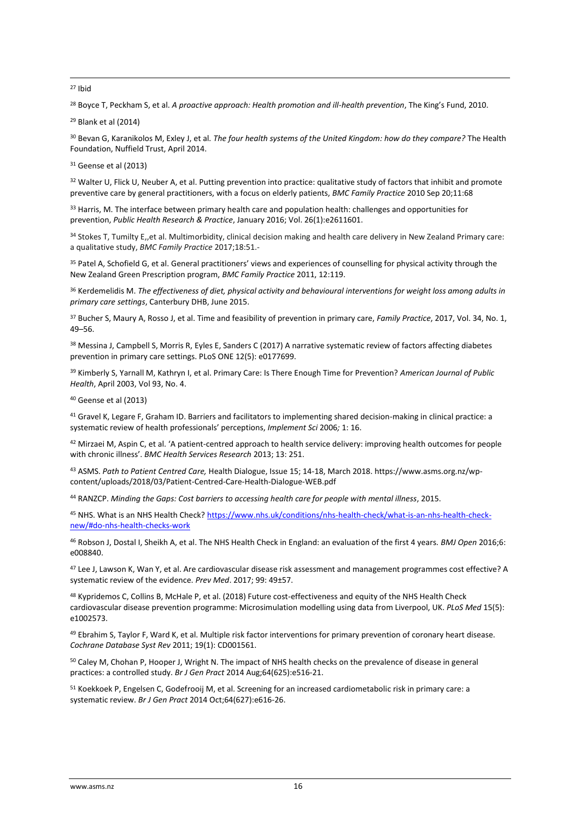**.** <sup>27</sup> Ibid

<sup>28</sup> Boyce T, Peckham S, et al. *A proactive approach: Health promotion and ill-health prevention*, The King's Fund, 2010.

<sup>29</sup> Blank et al (2014)

<sup>30</sup> Bevan G, Karanikolos M, Exley J, et al*. The four health systems of the United Kingdom: how do they compare?* The Health Foundation, Nuffield Trust, April 2014.

<sup>31</sup> Geense et al (2013)

<sup>32</sup> Walter U, Flick U, Neuber A, et al. Putting prevention into practice: qualitative study of factors that inhibit and promote preventive care by general practitioners, with a focus on elderly patients, *BMC Family Practice* 2010 Sep 20;11:68

33 Harris, M. The interface between primary health care and population health: challenges and opportunities for prevention, *Public Health Research & Practice*, January 2016; Vol. 26(1):e2611601.

34 Stokes T, Tumilty E,,et al. Multimorbidity, clinical decision making and health care delivery in New Zealand Primary care: a qualitative study, *BMC Family Practice* 2017;18:51.-

<sup>35</sup> Patel A, Schofield G, et al. General practitioners' views and experiences of counselling for physical activity through the New Zealand Green Prescription program, *BMC Family Practice* 2011, 12:119.

<sup>36</sup> Kerdemelidis M. *The effectiveness of diet, physical activity and behavioural interventions for weight loss among adults in primary care settings*, Canterbury DHB, June 2015.

<sup>37</sup> Bucher S, Maury A, Rosso J, et al. Time and feasibility of prevention in primary care, *Family Practice*, 2017, Vol. 34, No. 1, 49–56.

38 Messina J, Campbell S, Morris R, Eyles E, Sanders C (2017) A narrative systematic review of factors affecting diabetes prevention in primary care settings. PLoS ONE 12(5): e0177699.

<sup>39</sup> Kimberly S, Yarnall M, Kathryn I, et al. Primary Care: Is There Enough Time for Prevention? *American Journal of Public Health*, April 2003, Vol 93, No. 4.

<sup>40</sup> Geense et al (2013)

41 Gravel K, Legare F, Graham ID. Barriers and facilitators to implementing shared decision-making in clinical practice: a systematic review of health professionals' perceptions, *Implement Sci* 2006*;* 1: 16.

42 Mirzaei M, Aspin C, et al. 'A patient-centred approach to health service delivery: improving health outcomes for people with chronic illness'. *BMC Health Services Research* 2013; 13: 251.

<sup>43</sup> ASMS. *Path to Patient Centred Care,* Health Dialogue, Issue 15; 14-18, March 2018. https://www.asms.org.nz/wpcontent/uploads/2018/03/Patient-Centred-Care-Health-Dialogue-WEB.pdf

<sup>44</sup> RANZCP. *Minding the Gaps: Cost barriers to accessing health care for people with mental illness*, 2015.

<sup>45</sup> NHS. What is an NHS Health Check[? https://www.nhs.uk/conditions/nhs-health-check/what-is-an-nhs-health-check](https://www.nhs.uk/conditions/nhs-health-check/what-is-an-nhs-health-check-new/#do-nhs-health-checks-work)[new/#do-nhs-health-checks-work](https://www.nhs.uk/conditions/nhs-health-check/what-is-an-nhs-health-check-new/#do-nhs-health-checks-work)

<sup>46</sup> Robson J, Dostal I, Sheikh A, et al. The NHS Health Check in England: an evaluation of the first 4 years. *BMJ Open* 2016;6: e008840.

47 Lee J, Lawson K, Wan Y, et al. Are cardiovascular disease risk assessment and management programmes cost effective? A systematic review of the evidence. *Prev Med*. 2017; 99: 49±57.

48 Kypridemos C, Collins B, McHale P, et al. (2018) Future cost-effectiveness and equity of the NHS Health Check cardiovascular disease prevention programme: Microsimulation modelling using data from Liverpool, UK. *PLoS Med* 15(5): e1002573.

49 Ebrahim S, Taylor F, Ward K, et al. Multiple risk factor interventions for primary prevention of coronary heart disease. *Cochrane Database Syst Rev* 2011; 19(1): CD001561.

<sup>50</sup> Caley M, Chohan P, Hooper J, Wright N. The impact of NHS health checks on the prevalence of disease in general practices: a controlled study. *Br J Gen Pract* 2014 Aug;64(625):e516-21.

<sup>51</sup> Koekkoek P, Engelsen C, Godefrooij M, et al. Screening for an increased cardiometabolic risk in primary care: a systematic review. *Br J Gen Pract* 2014 Oct;64(627):e616-26.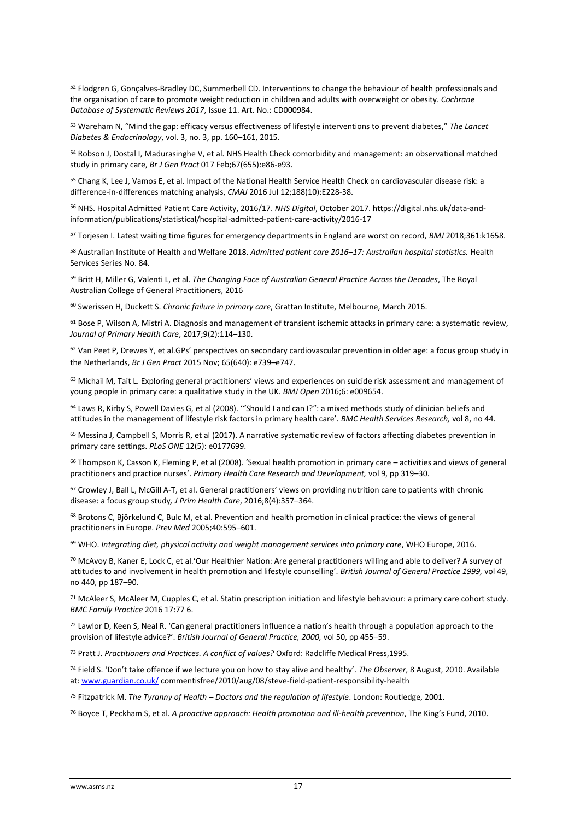**.** <sup>52</sup> Flodgren G, Gonçalves-Bradley DC, Summerbell CD. Interventions to change the behaviour of health professionals and the organisation of care to promote weight reduction in children and adults with overweight or obesity. *Cochrane Database of Systematic Reviews 2017*, Issue 11. Art. No.: CD000984.

<sup>53</sup> Wareham N, "Mind the gap: efficacy versus effectiveness of lifestyle interventions to prevent diabetes," *The Lancet Diabetes & Endocrinology*, vol. 3, no. 3, pp. 160–161, 2015.

<sup>54</sup> Robson J, Dostal I, Madurasinghe V, et al. NHS Health Check comorbidity and management: an observational matched study in primary care, *Br J Gen Pract* 017 Feb;67(655):e86-e93.

<sup>55</sup> Chang K, Lee J, Vamos E, et al. Impact of the National Health Service Health Check on cardiovascular disease risk: a difference-in-differences matching analysis, *CMAJ* 2016 Jul 12;188(10):E228-38.

<sup>56</sup> NHS. Hospital Admitted Patient Care Activity, 2016/17. *NHS Digital*, October 2017. https://digital.nhs.uk/data-andinformation/publications/statistical/hospital-admitted-patient-care-activity/2016-17

<sup>57</sup> Torjesen I. Latest waiting time figures for emergency departments in England are worst on record, *BMJ* 2018;361:k1658.

<sup>58</sup> Australian Institute of Health and Welfare 2018. *Admitted patient care 2016–17: Australian hospital statistics.* Health Services Series No. 84.

<sup>59</sup> Britt H, Miller G, Valenti L, et al. *The Changing Face of Australian General Practice Across the Decades*, The Royal Australian College of General Practitioners, 2016

<sup>60</sup> Swerissen H, Duckett S. *Chronic failure in primary care*, Grattan Institute, Melbourne, March 2016.

<sup>61</sup> Bose P, Wilson A, Mistri A. Diagnosis and management of transient ischemic attacks in primary care: a systematic review, *Journal of Primary Health Care*, 2017;9(2):114–130.

 $62$  Van Peet P, Drewes Y, et al.GPs' perspectives on secondary cardiovascular prevention in older age: a focus group study in the Netherlands, *Br J Gen Pract* 2015 Nov; 65(640): e739–e747.

<sup>63</sup> Michail M, Tait L. Exploring general practitioners' views and experiences on suicide risk assessment and management of young people in primary care: a qualitative study in the UK. *BMJ Open* 2016;6: e009654.

<sup>64</sup> Laws R, Kirby S, Powell Davies G, et al (2008). "Should I and can I?": a mixed methods study of clinician beliefs and attitudes in the management of lifestyle risk factors in primary health care'. *BMC Health Services Research,* vol 8, no 44.

<sup>65</sup> Messina J, Campbell S, Morris R, et al (2017). A narrative systematic review of factors affecting diabetes prevention in primary care settings. *PLoS ONE* 12(5): e0177699.

<sup>66</sup> Thompson K, Casson K, Fleming P, et al (2008). 'Sexual health promotion in primary care – activities and views of general practitioners and practice nurses'. *Primary Health Care Research and Development,* vol 9, pp 319–30.

<sup>67</sup> Crowley J, Ball L, McGill A-T, et al. General practitioners' views on providing nutrition care to patients with chronic disease: a focus group study*, J Prim Health Care*, 2016;8(4):357–364.

<sup>68</sup> Brotons C, Björkelund C, Bulc M, et al. Prevention and health promotion in clinical practice: the views of general practitioners in Europe. *Prev Med* 2005;40:595–601.

<sup>69</sup> WHO. Integrating diet, physical activity and weight management services into primary care, WHO Europe, 2016.

<sup>70</sup> McAvoy B, Kaner E, Lock C, et al.'Our Healthier Nation: Are general practitioners willing and able to deliver? A survey of attitudes to and involvement in health promotion and lifestyle counselling'. *British Journal of General Practice 1999,* vol 49, no 440, pp 187–90.

 $71$  McAleer S, McAleer M, Cupples C, et al. Statin prescription initiation and lifestyle behaviour: a primary care cohort study. *BMC Family Practice* 2016 17:77 6.

 $72$  Lawlor D, Keen S, Neal R, 'Can general practitioners influence a nation's health through a population approach to the provision of lifestyle advice?'. *British Journal of General Practice, 2000,* vol 50, pp 455–59.

<sup>73</sup> Pratt J. *Practitioners and Practices. A conflict of values?* Oxford: Radcliffe Medical Press,1995.

<sup>74</sup> Field S. 'Don't take offence if we lecture you on how to stay alive and healthy'. *The Observer*, 8 August, 2010. Available at: [www.guardian.co.uk/](http://www.guardian.co.uk/) commentisfree/2010/aug/08/steve-field-patient-responsibility-health

<sup>75</sup> Fitzpatrick M. *The Tyranny of Health – Doctors and the regulation of lifestyle*. London: Routledge, 2001.

<sup>76</sup> Boyce T, Peckham S, et al. *A proactive approach: Health promotion and ill-health prevention*, The King's Fund, 2010.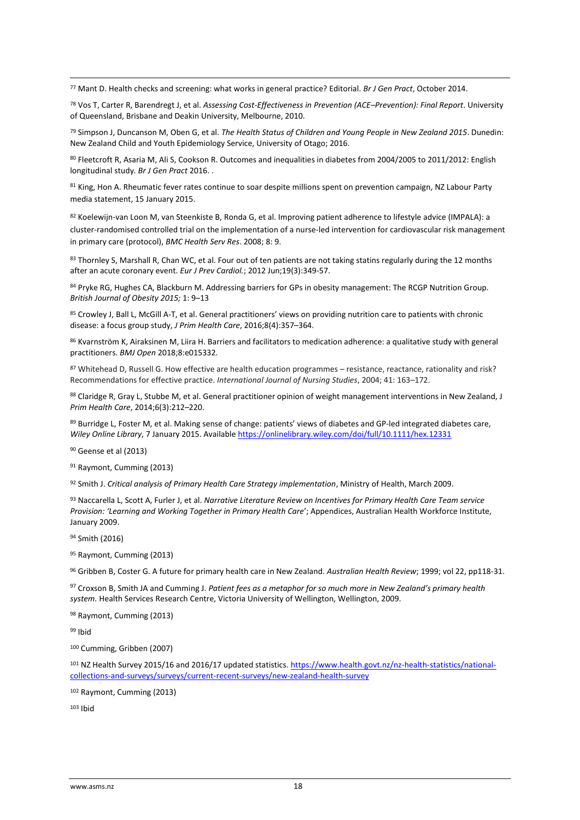<sup>77</sup> Mant D. Health checks and screening: what works in general practice? Editorial. *Br J Gen Pract*, October 2014.

<sup>78</sup> Vos T, Carter R, Barendregt J, et al. *Assessing Cost-Effectiveness in Prevention (ACE–Prevention): Final Report*. University of Queensland, Brisbane and Deakin University, Melbourne, 2010.

<sup>79</sup> Simpson J, Duncanson M, Oben G, et al. *The Health Status of Children and Young People in New Zealand 2015*. Dunedin: New Zealand Child and Youth Epidemiology Service, University of Otago; 2016.

80 Fleetcroft R, Asaria M, Ali S, Cookson R. Outcomes and inequalities in diabetes from 2004/2005 to 2011/2012: English longitudinal study*. Br J Gen Pract* 2016. .

81 King, Hon A. Rheumatic fever rates continue to soar despite millions spent on prevention campaign, NZ Labour Party media statement, 15 January 2015.

82 Koelewijn-van Loon M, van Steenkiste B, Ronda G, et al. Improving patient adherence to lifestyle advice (IMPALA): a cluster-randomised controlled trial on the implementation of a nurse-led intervention for cardiovascular risk management in primary care (protocol), *BMC Health Serv Res*. 2008; 8: 9.

83 Thornley S, Marshall R, Chan WC, et al. Four out of ten patients are not taking statins regularly during the 12 months after an acute coronary event. *Eur J Prev Cardiol.*; 2012 Jun;19(3):349-57.

84 Pryke RG, Hughes CA, Blackburn M. Addressing barriers for GPs in obesity management: The RCGP Nutrition Group. *British Journal of Obesity 2015;* 1: 9–13

85 Crowley J, Ball L, McGill A-T, et al. General practitioners' views on providing nutrition care to patients with chronic disease: a focus group study, *J Prim Health Care*, 2016;8(4):357–364.

<sup>86</sup> Kvarnström K, Airaksinen M, Liira H. Barriers and facilitators to medication adherence: a qualitative study with general practitioners. *BMJ Open* 2018;8:e015332.

87 Whitehead D, Russell G. How effective are health education programmes – resistance, reactance, rationality and risk? Recommendations for effective practice. *International Journal of Nursing Studies*, 2004; 41: 163–172.

88 Claridge R, Gray L, Stubbe M, et al. General practitioner opinion of weight management interventions in New Zealand, J *Prim Health Care*, 2014;6(3):212–220.

89 Burridge L, Foster M, et al. Making sense of change: patients' views of diabetes and GP-led integrated diabetes care, *Wiley Online Library*, 7 January 2015. Availabl[e https://onlinelibrary.wiley.com/doi/full/10.1111/hex.12331](https://onlinelibrary.wiley.com/doi/full/10.1111/hex.12331)

<sup>90</sup> Geense et al (2013)

**.** 

<sup>91</sup> Raymont, Cumming (2013)

<sup>92</sup> Smith J. *Critical analysis of Primary Health Care Strategy implementation*, Ministry of Health, March 2009.

<sup>93</sup> Naccarella L, Scott A, Furler J, et al. *Narrative Literature Review on Incentives for Primary Health Care Team service Provision: 'Learning and Working Together in Primary Health Care*'; Appendices, Australian Health Workforce Institute, January 2009.

<sup>94</sup> Smith (2016)

<sup>95</sup> Raymont, Cumming (2013)

<sup>96</sup> Gribben B, Coster G. A future for primary health care in New Zealand. *Australian Health Review*; 1999; vol 22, pp118-31.

<sup>97</sup> Croxson B, Smith JA and Cumming J. *Patient fees as a metaphor for so much more in New Zealand's primary health system.* Health Services Research Centre, Victoria University of Wellington, Wellington, 2009.

<sup>98</sup> Raymont, Cumming (2013)

<sup>99</sup> Ibid

<sup>100</sup> Cumming, Gribben (2007)

101 NZ Health Survey 2015/16 and 2016/17 updated statistics[. https://www.health.govt.nz/nz-health-statistics/national](https://www.health.govt.nz/nz-health-statistics/national-collections-and-surveys/surveys/current-recent-surveys/new-zealand-health-survey)[collections-and-surveys/surveys/current-recent-surveys/new-zealand-health-survey](https://www.health.govt.nz/nz-health-statistics/national-collections-and-surveys/surveys/current-recent-surveys/new-zealand-health-survey)

<sup>102</sup> Raymont, Cumming (2013)

 $103$  Ibid